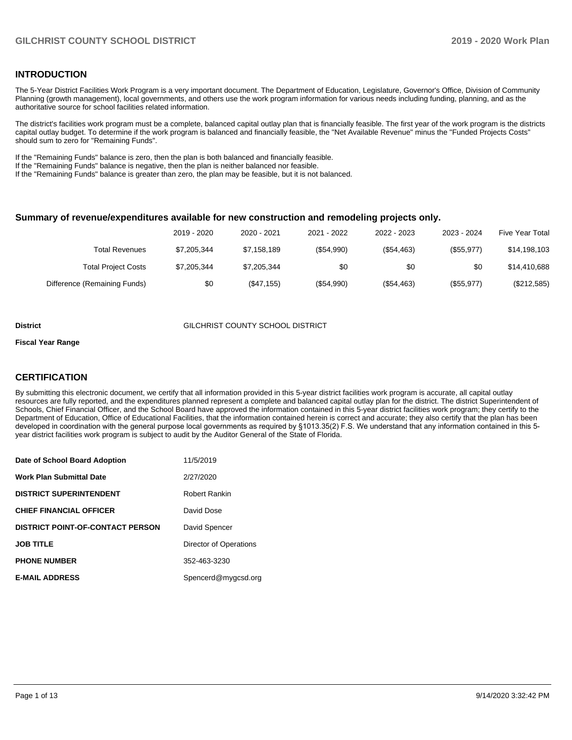#### **INTRODUCTION**

The 5-Year District Facilities Work Program is a very important document. The Department of Education, Legislature, Governor's Office, Division of Community Planning (growth management), local governments, and others use the work program information for various needs including funding, planning, and as the authoritative source for school facilities related information.

The district's facilities work program must be a complete, balanced capital outlay plan that is financially feasible. The first year of the work program is the districts capital outlay budget. To determine if the work program is balanced and financially feasible, the "Net Available Revenue" minus the "Funded Projects Costs" should sum to zero for "Remaining Funds".

If the "Remaining Funds" balance is zero, then the plan is both balanced and financially feasible.

If the "Remaining Funds" balance is negative, then the plan is neither balanced nor feasible.

If the "Remaining Funds" balance is greater than zero, the plan may be feasible, but it is not balanced.

#### **Summary of revenue/expenditures available for new construction and remodeling projects only.**

|                              | 2019 - 2020 | 2020 - 2021 | 2021 - 2022  | 2022 - 2023 | 2023 - 2024 | <b>Five Year Total</b> |
|------------------------------|-------------|-------------|--------------|-------------|-------------|------------------------|
| Total Revenues               | \$7,205,344 | \$7,158,189 | (\$54,990)   | (\$54,463)  | (\$55,977)  | \$14,198,103           |
| <b>Total Project Costs</b>   | \$7,205,344 | \$7,205,344 | \$0          | \$0         | \$0         | \$14,410,688           |
| Difference (Remaining Funds) | \$0         | (\$47,155)  | $(\$54,990)$ | (\$54,463)  | (\$55,977)  | (\$212,585)            |

#### **District** GILCHRIST COUNTY SCHOOL DISTRICT

#### **Fiscal Year Range**

#### **CERTIFICATION**

By submitting this electronic document, we certify that all information provided in this 5-year district facilities work program is accurate, all capital outlay resources are fully reported, and the expenditures planned represent a complete and balanced capital outlay plan for the district. The district Superintendent of Schools, Chief Financial Officer, and the School Board have approved the information contained in this 5-year district facilities work program; they certify to the Department of Education, Office of Educational Facilities, that the information contained herein is correct and accurate; they also certify that the plan has been developed in coordination with the general purpose local governments as required by §1013.35(2) F.S. We understand that any information contained in this 5 year district facilities work program is subject to audit by the Auditor General of the State of Florida.

| Date of School Board Adoption           | 11/5/2019              |
|-----------------------------------------|------------------------|
| Work Plan Submittal Date                | 2/27/2020              |
| <b>DISTRICT SUPERINTENDENT</b>          | Robert Rankin          |
| <b>CHIEF FINANCIAL OFFICER</b>          | David Dose             |
| <b>DISTRICT POINT-OF-CONTACT PERSON</b> | David Spencer          |
| <b>JOB TITLE</b>                        | Director of Operations |
| <b>PHONE NUMBER</b>                     | 352-463-3230           |
| <b>E-MAIL ADDRESS</b>                   | Spencerd@mygcsd.org    |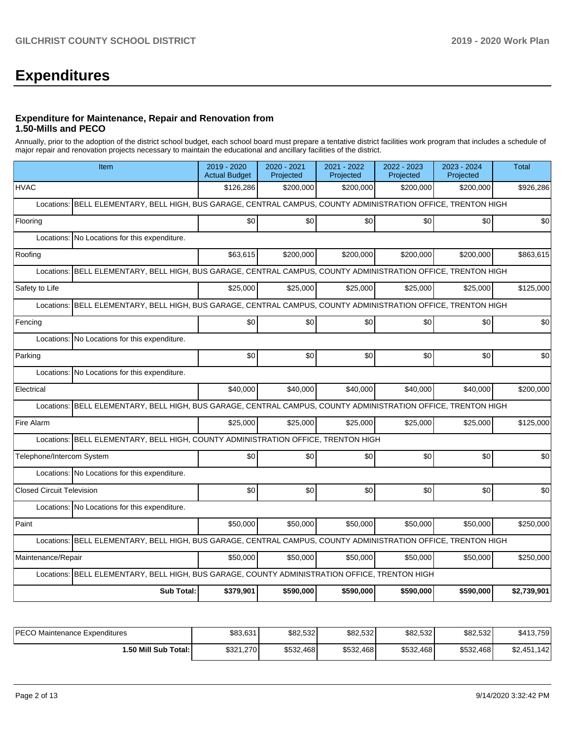# **Expenditures**

#### **Expenditure for Maintenance, Repair and Renovation from 1.50-Mills and PECO**

Annually, prior to the adoption of the district school budget, each school board must prepare a tentative district facilities work program that includes a schedule of major repair and renovation projects necessary to maintain the educational and ancillary facilities of the district.

| Item                                          |                                                                                                               | 2019 - 2020<br><b>Actual Budget</b> | 2020 - 2021<br>Projected | 2021 - 2022<br>Projected | 2022 - 2023<br>Projected | 2023 - 2024<br>Projected | <b>Total</b> |  |  |  |  |
|-----------------------------------------------|---------------------------------------------------------------------------------------------------------------|-------------------------------------|--------------------------|--------------------------|--------------------------|--------------------------|--------------|--|--|--|--|
| <b>HVAC</b>                                   |                                                                                                               | \$126,286                           | \$200.000                | \$200,000                | \$200,000                | \$200,000                | \$926,286    |  |  |  |  |
| Locations:                                    | BELL ELEMENTARY, BELL HIGH, BUS GARAGE, CENTRAL CAMPUS, COUNTY ADMINISTRATION OFFICE, TRENTON HIGH            |                                     |                          |                          |                          |                          |              |  |  |  |  |
| Flooring                                      |                                                                                                               | \$0                                 | \$0                      | \$0                      | \$0                      | \$0                      | \$0          |  |  |  |  |
|                                               | Locations: No Locations for this expenditure.                                                                 |                                     |                          |                          |                          |                          |              |  |  |  |  |
| Roofing                                       |                                                                                                               | \$63,615                            | \$200,000                | \$200,000                | \$200,000                | \$200,000                | \$863,615    |  |  |  |  |
|                                               | Locations: BELL ELEMENTARY, BELL HIGH, BUS GARAGE, CENTRAL CAMPUS, COUNTY ADMINISTRATION OFFICE, TRENTON HIGH |                                     |                          |                          |                          |                          |              |  |  |  |  |
| Safety to Life                                |                                                                                                               | \$25,000                            | \$25,000                 | \$25,000                 | \$25,000                 | \$25,000                 | \$125,000    |  |  |  |  |
| Locations:                                    | BELL ELEMENTARY, BELL HIGH, BUS GARAGE, CENTRAL CAMPUS, COUNTY ADMINISTRATION OFFICE, TRENTON HIGH            |                                     |                          |                          |                          |                          |              |  |  |  |  |
| Fencing                                       |                                                                                                               | \$0                                 | \$0                      | \$0                      | \$0                      | \$0                      | \$0          |  |  |  |  |
| Locations:                                    | No Locations for this expenditure.                                                                            |                                     |                          |                          |                          |                          |              |  |  |  |  |
| Parking                                       |                                                                                                               | \$0                                 | \$0                      | \$0                      | \$0                      | \$0                      | \$0          |  |  |  |  |
|                                               | Locations: No Locations for this expenditure.                                                                 |                                     |                          |                          |                          |                          |              |  |  |  |  |
| Electrical                                    |                                                                                                               | \$40.000                            | \$40,000                 | \$40,000                 | \$40,000                 | \$40,000                 | \$200,000    |  |  |  |  |
| Locations:                                    | BELL ELEMENTARY, BELL HIGH, BUS GARAGE, CENTRAL CAMPUS, COUNTY ADMINISTRATION OFFICE, TRENTON HIGH            |                                     |                          |                          |                          |                          |              |  |  |  |  |
| Fire Alarm                                    |                                                                                                               | \$25,000                            | \$25,000                 | \$25,000                 | \$25,000                 | \$25,000                 | \$125,000    |  |  |  |  |
|                                               | Locations: BELL ELEMENTARY, BELL HIGH, COUNTY ADMINISTRATION OFFICE, TRENTON HIGH                             |                                     |                          |                          |                          |                          |              |  |  |  |  |
| Telephone/Intercom System                     |                                                                                                               | \$0                                 | \$0                      | \$0                      | \$0                      | \$0                      | \$0          |  |  |  |  |
| Locations: No Locations for this expenditure. |                                                                                                               |                                     |                          |                          |                          |                          |              |  |  |  |  |
| <b>Closed Circuit Television</b>              |                                                                                                               | \$0                                 | \$0                      | \$0                      | \$0                      | \$0                      | \$0          |  |  |  |  |
| Locations: No Locations for this expenditure. |                                                                                                               |                                     |                          |                          |                          |                          |              |  |  |  |  |
| Paint                                         |                                                                                                               | \$50,000                            | \$50,000                 | \$50,000                 | \$50,000                 | \$50,000                 | \$250,000    |  |  |  |  |
|                                               | Locations: BELL ELEMENTARY, BELL HIGH, BUS GARAGE, CENTRAL CAMPUS, COUNTY ADMINISTRATION OFFICE, TRENTON HIGH |                                     |                          |                          |                          |                          |              |  |  |  |  |
| Maintenance/Repair                            |                                                                                                               | \$50,000                            | \$50,000                 | \$50,000                 | \$50,000                 | \$50,000                 | \$250,000    |  |  |  |  |
|                                               | Locations: BELL ELEMENTARY, BELL HIGH, BUS GARAGE, COUNTY ADMINISTRATION OFFICE, TRENTON HIGH                 |                                     |                          |                          |                          |                          |              |  |  |  |  |
|                                               | <b>Sub Total:</b>                                                                                             | \$379,901                           | \$590,000                | \$590,000                | \$590,000                | \$590,000                | \$2,739,901  |  |  |  |  |

| <b>IPECO Maintenance Expenditures</b> | \$83,631  | \$82,532  | \$82,532  | \$82,532  | \$82,532  | \$413,759   |
|---------------------------------------|-----------|-----------|-----------|-----------|-----------|-------------|
| 1.50 Mill Sub Total:                  | \$321,270 | \$532,468 | \$532,468 | \$532,468 | \$532,468 | \$2,451,142 |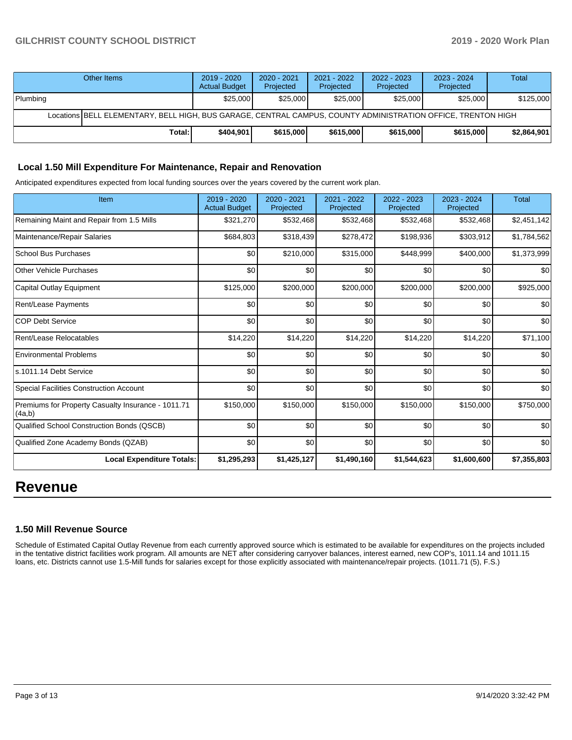### **GILCHRIST COUNTY SCHOOL DISTRICT 2019 - 2020 Work Plan**

|                                                                                                              | Other Items | $2019 - 2020$<br><b>Actual Budget</b> | $2020 - 2021$<br>Projected | 2021 - 2022<br>Projected | 2022 - 2023<br>Projected | 2023 - 2024<br>Projected | Total       |  |
|--------------------------------------------------------------------------------------------------------------|-------------|---------------------------------------|----------------------------|--------------------------|--------------------------|--------------------------|-------------|--|
| Plumbing                                                                                                     |             | \$25,000                              | \$25,000                   | \$25,000                 | \$25,000                 | \$25,000                 | \$125,000   |  |
| Locations BELL ELEMENTARY, BELL HIGH, BUS GARAGE, CENTRAL CAMPUS, COUNTY ADMINISTRATION OFFICE, TRENTON HIGH |             |                                       |                            |                          |                          |                          |             |  |
|                                                                                                              | Total:      | \$404.901                             | \$615,000                  | \$615,000                | \$615,000                | \$615,000                | \$2,864,901 |  |

#### **Local 1.50 Mill Expenditure For Maintenance, Repair and Renovation**

Anticipated expenditures expected from local funding sources over the years covered by the current work plan.

| Item                                                         | 2019 - 2020<br><b>Actual Budget</b> | $2020 - 2021$<br>Projected | 2021 - 2022<br>Projected | 2022 - 2023<br>Projected | 2023 - 2024<br>Projected | <b>Total</b> |
|--------------------------------------------------------------|-------------------------------------|----------------------------|--------------------------|--------------------------|--------------------------|--------------|
| Remaining Maint and Repair from 1.5 Mills                    | \$321,270                           | \$532,468                  | \$532,468                | \$532,468                | \$532,468                | \$2,451,142  |
| Maintenance/Repair Salaries                                  | \$684,803                           | \$318,439                  | \$278,472                | \$198,936                | \$303,912                | \$1,784,562  |
| <b>School Bus Purchases</b>                                  | \$0                                 | \$210,000                  | \$315,000                | \$448,999                | \$400,000                | \$1,373,999  |
| <b>Other Vehicle Purchases</b>                               | \$0                                 | \$0                        | \$0                      | \$0                      | \$0                      | \$0          |
| Capital Outlay Equipment                                     | \$125,000                           | \$200,000                  | \$200,000                | \$200,000                | \$200,000                | \$925,000    |
| Rent/Lease Payments                                          | \$0                                 | \$0                        | \$0                      | \$0                      | \$0                      | \$0          |
| <b>COP Debt Service</b>                                      | \$0                                 | \$0                        | \$0                      | \$0                      | \$0                      | \$0          |
| Rent/Lease Relocatables                                      | \$14,220                            | \$14,220                   | \$14,220                 | \$14,220                 | \$14,220                 | \$71,100     |
| <b>Environmental Problems</b>                                | \$0                                 | \$0                        | \$0                      | \$0                      | \$0                      | \$0          |
| s.1011.14 Debt Service                                       | \$0                                 | \$0                        | \$0                      | \$0                      | \$0                      | \$0          |
| <b>Special Facilities Construction Account</b>               | \$0                                 | \$0                        | \$0                      | \$0                      | \$0                      | \$0          |
| Premiums for Property Casualty Insurance - 1011.71<br>(4a,b) | \$150,000                           | \$150,000                  | \$150,000                | \$150,000                | \$150,000                | \$750,000    |
| Qualified School Construction Bonds (QSCB)                   | \$0                                 | \$0                        | \$0                      | \$0                      | \$0                      | \$0          |
| Qualified Zone Academy Bonds (QZAB)                          | \$0                                 | \$0                        | \$0                      | \$0                      | \$0                      | \$0          |
| <b>Local Expenditure Totals:</b>                             | \$1,295,293                         | \$1,425,127                | \$1,490,160              | \$1,544,623              | \$1,600,600              | \$7,355,803  |

## **Revenue**

#### **1.50 Mill Revenue Source**

Schedule of Estimated Capital Outlay Revenue from each currently approved source which is estimated to be available for expenditures on the projects included in the tentative district facilities work program. All amounts are NET after considering carryover balances, interest earned, new COP's, 1011.14 and 1011.15 loans, etc. Districts cannot use 1.5-Mill funds for salaries except for those explicitly associated with maintenance/repair projects. (1011.71 (5), F.S.)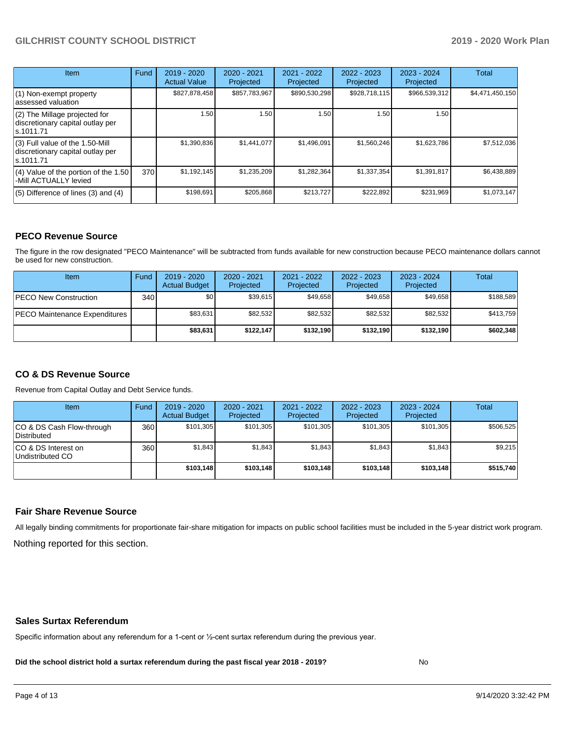### **GILCHRIST COUNTY SCHOOL DISTRICT 2019 - 2020 Work Plan**

| <b>Item</b>                                                                         | Fund | $2019 - 2020$<br><b>Actual Value</b> | $2020 - 2021$<br>Projected | $2021 - 2022$<br>Projected | $2022 - 2023$<br>Projected | $2023 - 2024$<br>Projected | Total           |
|-------------------------------------------------------------------------------------|------|--------------------------------------|----------------------------|----------------------------|----------------------------|----------------------------|-----------------|
| $(1)$ Non-exempt property<br>lassessed valuation                                    |      | \$827,878,458                        | \$857,783,967              | \$890,530,298              | \$928,718,115              | \$966,539,312              | \$4,471,450,150 |
| (2) The Millage projected for<br>discretionary capital outlay per<br>ls.1011.71     |      | 1.50                                 | 1.50                       | 1.50                       | 1.50                       | 1.50                       |                 |
| $(3)$ Full value of the 1.50-Mill<br>discretionary capital outlay per<br>ls.1011.71 |      | \$1,390,836                          | \$1,441,077                | \$1,496,091                | \$1,560,246                | \$1,623,786                | \$7,512,036     |
| $(4)$ Value of the portion of the 1.50<br>-Mill ACTUALLY levied                     | 370  | \$1,192,145                          | \$1,235,209                | \$1,282,364                | \$1,337,354                | \$1,391,817                | \$6,438,889     |
| $(5)$ Difference of lines $(3)$ and $(4)$                                           |      | \$198,691                            | \$205,868                  | \$213.727                  | \$222,892                  | \$231,969                  | \$1,073,147     |

#### **PECO Revenue Source**

The figure in the row designated "PECO Maintenance" will be subtracted from funds available for new construction because PECO maintenance dollars cannot be used for new construction.

| <b>Item</b>                          | Fund         | $2019 - 2020$<br><b>Actual Budget</b> | 2020 - 2021<br>Projected | 2021 - 2022<br>Projected | $2022 - 2023$<br>Projected | $2023 - 2024$<br>Projected | Total     |
|--------------------------------------|--------------|---------------------------------------|--------------------------|--------------------------|----------------------------|----------------------------|-----------|
| <b>PECO New Construction</b>         | 340 <b>I</b> | \$0                                   | \$39,615                 | \$49.658                 | \$49.658                   | \$49.658                   | \$188,589 |
| <b>PECO Maintenance Expenditures</b> |              | \$83,631                              | \$82,532                 | \$82.532                 | \$82,532                   | \$82,532                   | \$413,759 |
|                                      |              | \$83,631                              | \$122.147                | \$132.190                | \$132.190                  | \$132.190                  | \$602,348 |

### **CO & DS Revenue Source**

Revenue from Capital Outlay and Debt Service funds.

| Item                                      | Fund | 2019 - 2020<br><b>Actual Budget</b> | 2020 - 2021<br>Projected | 2021 - 2022<br>Projected | 2022 - 2023<br>Projected | $2023 - 2024$<br>Projected | Total     |
|-------------------------------------------|------|-------------------------------------|--------------------------|--------------------------|--------------------------|----------------------------|-----------|
| ICO & DS Cash Flow-through<br>Distributed | 360  | \$101.305                           | \$101.305                | \$101.305                | \$101.305                | \$101.305                  | \$506,525 |
| ICO & DS Interest on<br>Undistributed CO  | 360  | \$1.843                             | \$1,843                  | \$1.843                  | \$1.843                  | \$1,843                    | \$9,215   |
|                                           |      | \$103.148                           | \$103.148                | \$103.148                | \$103.148                | \$103.148                  | \$515,740 |

#### **Fair Share Revenue Source**

Nothing reported for this section. All legally binding commitments for proportionate fair-share mitigation for impacts on public school facilities must be included in the 5-year district work program.

#### **Sales Surtax Referendum**

Specific information about any referendum for a 1-cent or ½-cent surtax referendum during the previous year.

**Did the school district hold a surtax referendum during the past fiscal year 2018 - 2019?**

No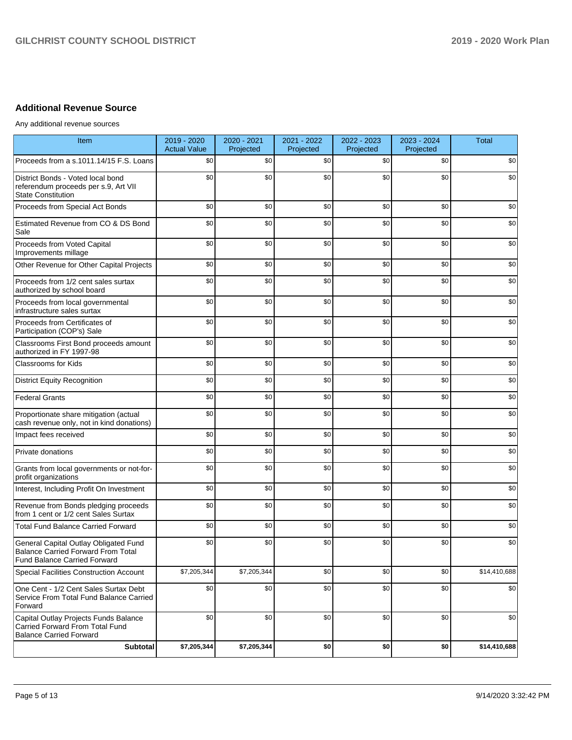### **Additional Revenue Source**

Any additional revenue sources

| Item                                                                                                                      | 2019 - 2020<br><b>Actual Value</b> | 2020 - 2021<br>Projected | 2021 - 2022<br>Projected | 2022 - 2023<br>Projected | 2023 - 2024<br>Projected | <b>Total</b> |
|---------------------------------------------------------------------------------------------------------------------------|------------------------------------|--------------------------|--------------------------|--------------------------|--------------------------|--------------|
| Proceeds from a s.1011.14/15 F.S. Loans                                                                                   | \$0                                | \$0                      | \$0                      | \$0                      | \$0                      | \$0          |
| District Bonds - Voted local bond<br>referendum proceeds per s.9, Art VII<br><b>State Constitution</b>                    | \$0                                | \$0                      | \$0                      | \$0                      | \$0                      | \$0          |
| Proceeds from Special Act Bonds                                                                                           | \$0                                | \$0                      | \$0                      | \$0                      | \$0                      | \$0          |
| Estimated Revenue from CO & DS Bond<br>Sale                                                                               | \$0                                | \$0                      | \$0                      | \$0                      | \$0                      | \$0          |
| Proceeds from Voted Capital<br>Improvements millage                                                                       | \$0                                | \$0                      | \$0                      | \$0                      | \$0                      | \$0          |
| Other Revenue for Other Capital Projects                                                                                  | \$0                                | \$0                      | \$0                      | \$0                      | \$0                      | \$0          |
| Proceeds from 1/2 cent sales surtax<br>authorized by school board                                                         | \$0                                | \$0                      | \$0                      | \$0                      | \$0                      | \$0          |
| Proceeds from local governmental<br>infrastructure sales surtax                                                           | \$0                                | \$0                      | \$0                      | \$0                      | \$0                      | \$0          |
| Proceeds from Certificates of<br>Participation (COP's) Sale                                                               | \$0                                | \$0                      | \$0                      | \$0                      | \$0                      | \$0          |
| Classrooms First Bond proceeds amount<br>authorized in FY 1997-98                                                         | \$0                                | \$0                      | \$0                      | \$0                      | \$0                      | \$0          |
| <b>Classrooms for Kids</b>                                                                                                | \$0                                | \$0                      | \$0                      | \$0                      | \$0                      | \$0          |
| <b>District Equity Recognition</b>                                                                                        | \$0                                | \$0                      | \$0                      | \$0                      | \$0                      | \$0          |
| <b>Federal Grants</b>                                                                                                     | \$0                                | \$0                      | \$0                      | \$0                      | \$0                      | \$0          |
| Proportionate share mitigation (actual<br>cash revenue only, not in kind donations)                                       | \$0                                | \$0                      | \$0                      | \$0                      | \$0                      | \$0          |
| Impact fees received                                                                                                      | \$0                                | \$0                      | \$0                      | \$0                      | \$0                      | \$0          |
| Private donations                                                                                                         | \$0                                | \$0                      | \$0                      | \$0                      | \$0                      | \$0          |
| Grants from local governments or not-for-<br>profit organizations                                                         | \$0                                | \$0                      | \$0                      | \$0                      | \$0                      | \$0          |
| Interest, Including Profit On Investment                                                                                  | \$0                                | \$0                      | \$0                      | \$0                      | \$0                      | \$0          |
| Revenue from Bonds pledging proceeds<br>from 1 cent or 1/2 cent Sales Surtax                                              | \$0                                | \$0                      | \$0                      | \$0                      | \$0                      | \$0          |
| <b>Total Fund Balance Carried Forward</b>                                                                                 | \$0                                | \$0                      | \$0                      | \$0                      | \$0                      | \$0          |
| General Capital Outlay Obligated Fund<br><b>Balance Carried Forward From Total</b><br><b>Fund Balance Carried Forward</b> | \$0                                | \$0                      | \$0                      | \$0                      | \$0                      | \$0          |
| Special Facilities Construction Account                                                                                   | \$7,205,344                        | \$7,205,344              | \$0                      | \$0                      | \$0                      | \$14,410,688 |
| One Cent - 1/2 Cent Sales Surtax Debt<br>Service From Total Fund Balance Carried<br>Forward                               | \$0                                | \$0                      | \$0                      | \$0                      | \$0                      | \$0          |
| Capital Outlay Projects Funds Balance<br>Carried Forward From Total Fund<br><b>Balance Carried Forward</b>                | \$0                                | \$0                      | \$0                      | \$0                      | \$0                      | \$0          |
| Subtotal                                                                                                                  | \$7,205,344                        | \$7,205,344              | \$0                      | \$0                      | \$0                      | \$14,410,688 |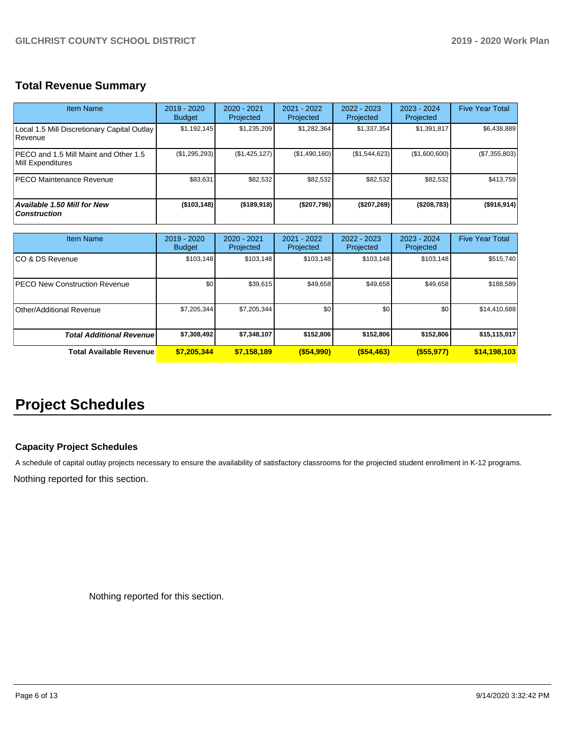## **Total Revenue Summary**

| Item Name                                                  | 2019 - 2020<br><b>Budget</b> | $2020 - 2021$<br>Projected | 2021 - 2022<br>Projected | $2022 - 2023$<br>Projected | $2023 - 2024$<br>Projected | <b>Five Year Total</b> |
|------------------------------------------------------------|------------------------------|----------------------------|--------------------------|----------------------------|----------------------------|------------------------|
| Local 1.5 Mill Discretionary Capital Outlay<br>Revenue     | \$1,192,145                  | \$1,235,209                | \$1,282,364              | \$1,337,354                | \$1,391,817                | \$6,438,889            |
| PECO and 1.5 Mill Maint and Other 1.5<br>Mill Expenditures | (\$1,295,293)                | (\$1,425,127)              | (\$1,490,160)            | (\$1,544,623)              | (\$1,600,600)              | (\$7,355,803)          |
| <b>PECO Maintenance Revenue</b>                            | \$83,631                     | \$82,532                   | \$82,532                 | \$82,532                   | \$82,532                   | \$413,759              |
| Available 1.50 Mill for New<br><b>Construction</b>         | (\$103,148)                  | (\$189,918)                | (\$207,796)              | (\$207, 269)               | (\$208,783)                | $($ \$916,914) $ $     |

| <b>Item Name</b>                      | 2019 - 2020<br><b>Budget</b> | $2020 - 2021$<br>Projected | 2021 - 2022<br>Projected | $2022 - 2023$<br>Projected | $2023 - 2024$<br>Projected | <b>Five Year Total</b> |
|---------------------------------------|------------------------------|----------------------------|--------------------------|----------------------------|----------------------------|------------------------|
| ICO & DS Revenue                      | \$103,148                    | \$103,148                  | \$103,148                | \$103,148                  | \$103,148                  | \$515,740              |
| <b>IPECO New Construction Revenue</b> | \$0                          | \$39.615                   | \$49,658                 | \$49,658                   | \$49,658                   | \$188,589              |
| Other/Additional Revenue              | \$7,205,344                  | \$7,205,344                | \$0                      | \$0                        | \$0                        | \$14,410,688           |
| <b>Total Additional Revenuel</b>      | \$7,308,492                  | \$7,348,107                | \$152,806                | \$152,806                  | \$152,806                  | \$15,115,017           |
| Total Available Revenue               | \$7,205,344                  | \$7,158,189                | $($ \$54,990)            | $($ \$54,463)              | $($ \$55,977)              | \$14,198,103           |

## **Project Schedules**

#### **Capacity Project Schedules**

A schedule of capital outlay projects necessary to ensure the availability of satisfactory classrooms for the projected student enrollment in K-12 programs.

Nothing reported for this section.

Nothing reported for this section.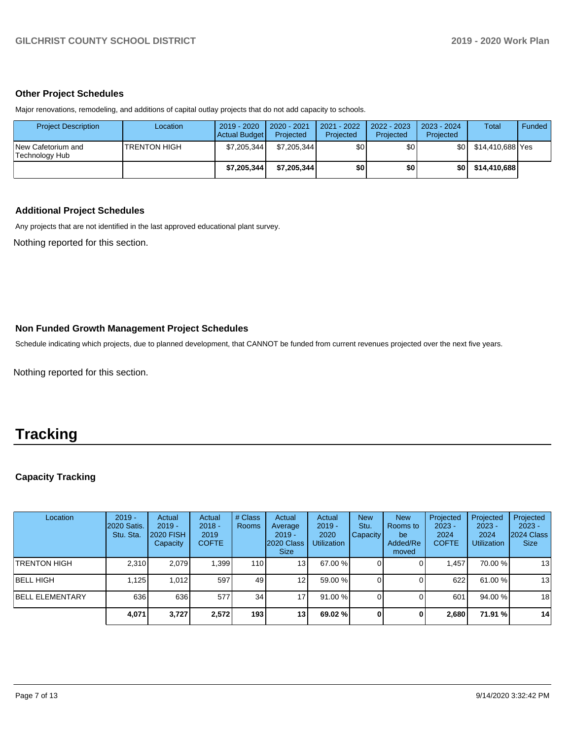#### **Other Project Schedules**

Major renovations, remodeling, and additions of capital outlay projects that do not add capacity to schools.

| <b>Project Description</b>           | Location             | 2019 - 2020<br>Actual Budget | 2020 - 2021<br>Projected | $2021 - 2022$<br>Projected | 2022 - 2023<br>Projected | 2023 - 2024<br>Projected | <b>Total</b>     | Funded |
|--------------------------------------|----------------------|------------------------------|--------------------------|----------------------------|--------------------------|--------------------------|------------------|--------|
| New Cafetorium and<br>Technology Hub | <b>ITRENTON HIGH</b> | \$7,205,344                  | \$7.205.344              | \$0                        | \$٥١                     | \$O.                     | \$14.410.688 Yes |        |
|                                      |                      | \$7,205,344                  | \$7.205.344              | \$0                        | \$0                      | \$OI                     | \$14,410,688     |        |

#### **Additional Project Schedules**

Any projects that are not identified in the last approved educational plant survey.

Nothing reported for this section.

#### **Non Funded Growth Management Project Schedules**

Schedule indicating which projects, due to planned development, that CANNOT be funded from current revenues projected over the next five years.

Nothing reported for this section.

## **Tracking**

### **Capacity Tracking**

| Location               | $2019 -$<br><b>2020 Satis.</b><br>Stu. Sta. | Actual<br>$2019 -$<br>2020 FISH<br>Capacity | Actual<br>$2018 -$<br>2019<br><b>COFTE</b> | # Class<br><b>Rooms</b> | Actual<br>Average<br>$2019 -$<br>2020 Class<br>Size: | Actual<br>$2019 -$<br>2020<br><b>Utilization</b> | <b>New</b><br>Stu.<br><b>Capacity</b> | <b>New</b><br>Rooms to<br>be<br>Added/Re<br>moved | Projected<br>$2023 -$<br>2024<br><b>COFTE</b> | Projected<br>$2023 -$<br>2024<br><b>Utilization</b> | Projected<br>$2023 -$<br>2024 Class<br><b>Size</b> |
|------------------------|---------------------------------------------|---------------------------------------------|--------------------------------------------|-------------------------|------------------------------------------------------|--------------------------------------------------|---------------------------------------|---------------------------------------------------|-----------------------------------------------|-----------------------------------------------------|----------------------------------------------------|
| <b>TRENTON HIGH</b>    | 2,310                                       | 2.079                                       | 1,399                                      | 110                     | 13                                                   | 67.00 %                                          |                                       |                                                   | .457                                          | 70.00 %                                             | 13                                                 |
| BELL HIGH              | 1.125                                       | 1.012                                       | 597                                        | 49                      | 12 <sub>l</sub>                                      | 59.00 %                                          |                                       |                                                   | 622                                           | 61.00 %                                             | 13                                                 |
| <b>BELL ELEMENTARY</b> | 636                                         | 636                                         | 577                                        | 34                      | $\overline{7}$                                       | 91.00 %                                          |                                       |                                                   | 601                                           | 94.00 %                                             | 18                                                 |
|                        | 4,071                                       | 3,727                                       | 2,572                                      | 193                     | 13 <sub>l</sub>                                      | 69.02 %                                          | 0                                     | 0                                                 | 2.680                                         | 71.91 %                                             | 14                                                 |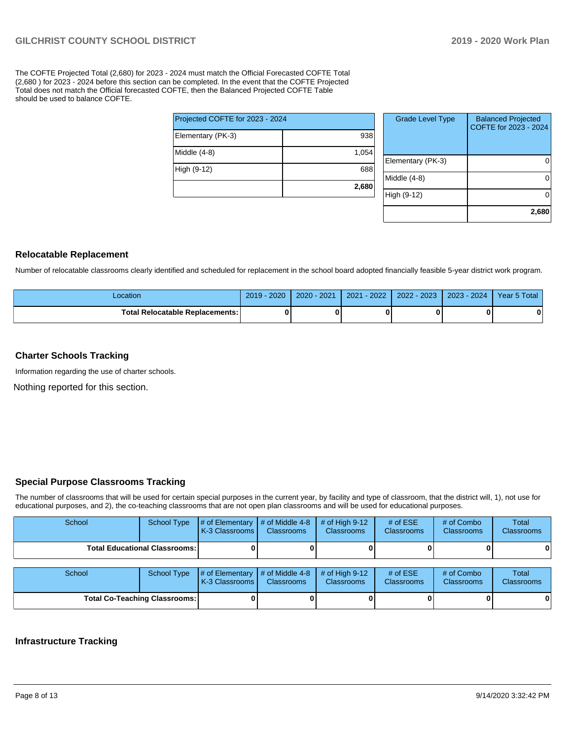The COFTE Projected Total (2,680) for 2023 - 2024 must match the Official Forecasted COFTE Total (2,680 ) for 2023 - 2024 before this section can be completed. In the event that the COFTE Projected Total does not match the Official forecasted COFTE, then the Balanced Projected COFTE Table should be used to balance COFTE.

|                                 | 2,680 |
|---------------------------------|-------|
| High (9-12)                     | 688   |
| Middle (4-8)                    | 1,054 |
| Elementary (PK-3)               | 938   |
| Projected COFTE for 2023 - 2024 |       |

| <b>Grade Level Type</b> | <b>Balanced Projected</b><br>COFTE for 2023 - 2024 |
|-------------------------|----------------------------------------------------|
| Elementary (PK-3)       |                                                    |
| Middle $(4-8)$          |                                                    |
| High (9-12)             |                                                    |
|                         | 2,680                                              |

#### **Relocatable Replacement**

Number of relocatable classrooms clearly identified and scheduled for replacement in the school board adopted financially feasible 5-year district work program.

| -ocation                          | 2020<br>2019 | $2020 - 2021$ | $-2022$<br>2021 | 2022 - 2023 | $-2024$<br>2023 | Year 5 Total |
|-----------------------------------|--------------|---------------|-----------------|-------------|-----------------|--------------|
| Total Relocatable Replacements: I | 0            |               |                 |             |                 |              |

#### **Charter Schools Tracking**

Information regarding the use of charter schools.

Nothing reported for this section.

#### **Special Purpose Classrooms Tracking**

The number of classrooms that will be used for certain special purposes in the current year, by facility and type of classroom, that the district will, 1), not use for educational purposes, and 2), the co-teaching classrooms that are not open plan classrooms and will be used for educational purposes.

| School                               | <b>School Type</b>                     | # of Elementary $\mid$ # of Middle 4-8<br>K-3 Classrooms I | <b>Classrooms</b>                       | $#$ of High 9-12<br><b>Classrooms</b> | # of $ESE$<br><b>Classrooms</b> | # of Combo<br><b>Classrooms</b> | Total<br><b>Classrooms</b> |
|--------------------------------------|----------------------------------------|------------------------------------------------------------|-----------------------------------------|---------------------------------------|---------------------------------|---------------------------------|----------------------------|
|                                      | <b>Total Educational Classrooms: I</b> |                                                            |                                         |                                       |                                 |                                 | 0                          |
| School                               | <b>School Type</b>                     | # of Elementary<br>K-3 Classrooms                          | $\#$ of Middle 4-8<br><b>Classrooms</b> | # of High $9-12$<br><b>Classrooms</b> | # of $ESE$<br><b>Classrooms</b> | # of Combo<br><b>Classrooms</b> | Total<br>Classrooms        |
| <b>Total Co-Teaching Classrooms:</b> |                                        |                                                            |                                         |                                       |                                 |                                 | 0                          |

#### **Infrastructure Tracking**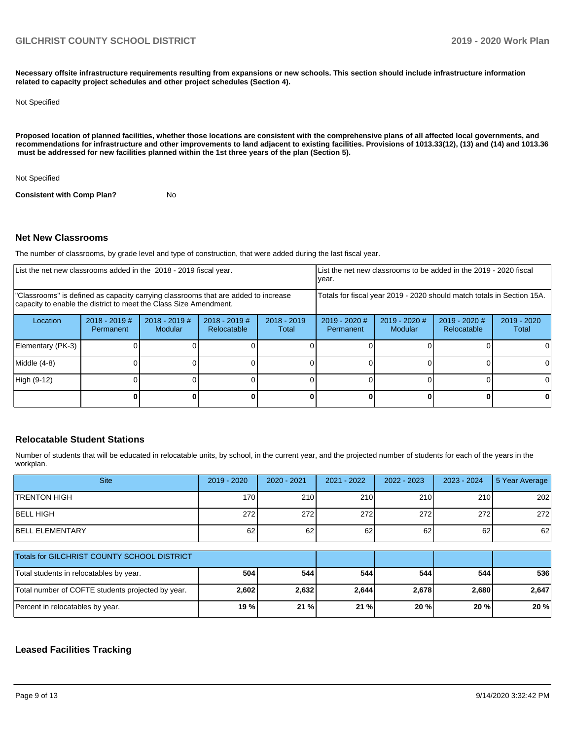**Necessary offsite infrastructure requirements resulting from expansions or new schools. This section should include infrastructure information related to capacity project schedules and other project schedules (Section 4).** 

#### Not Specified

**Proposed location of planned facilities, whether those locations are consistent with the comprehensive plans of all affected local governments, and recommendations for infrastructure and other improvements to land adjacent to existing facilities. Provisions of 1013.33(12), (13) and (14) and 1013.36 must be addressed for new facilities planned within the 1st three years of the plan (Section 5).** 

Not Specified

**Consistent with Comp Plan?** No

#### **Net New Classrooms**

The number of classrooms, by grade level and type of construction, that were added during the last fiscal year.

| List the net new classrooms added in the 2018 - 2019 fiscal year.<br>year.                                                                              |                              |                                   |                                |                        |                              |                            | List the net new classrooms to be added in the 2019 - 2020 fiscal      |                        |
|---------------------------------------------------------------------------------------------------------------------------------------------------------|------------------------------|-----------------------------------|--------------------------------|------------------------|------------------------------|----------------------------|------------------------------------------------------------------------|------------------------|
| "Classrooms" is defined as capacity carrying classrooms that are added to increase<br>capacity to enable the district to meet the Class Size Amendment. |                              |                                   |                                |                        |                              |                            | Totals for fiscal year 2019 - 2020 should match totals in Section 15A. |                        |
| Location                                                                                                                                                | $2018 - 2019$ #<br>Permanent | $2018 - 2019$ #<br><b>Modular</b> | $2018 - 2019$ #<br>Relocatable | $2018 - 2019$<br>Total | $2019 - 2020$ #<br>Permanent | $2019 - 2020$ #<br>Modular | $2019 - 2020$ #<br><b>Relocatable</b>                                  | $2019 - 2020$<br>Total |
| Elementary (PK-3)                                                                                                                                       |                              |                                   |                                |                        |                              |                            |                                                                        |                        |
| Middle (4-8)                                                                                                                                            |                              |                                   |                                |                        |                              |                            |                                                                        |                        |
| High (9-12)                                                                                                                                             |                              |                                   |                                |                        |                              |                            |                                                                        |                        |
|                                                                                                                                                         |                              |                                   |                                |                        |                              |                            |                                                                        |                        |

#### **Relocatable Student Stations**

Number of students that will be educated in relocatable units, by school, in the current year, and the projected number of students for each of the years in the workplan.

| <b>Site</b>                                       | $2019 - 2020$ | $2020 - 2021$ | 2021 - 2022 | $2022 - 2023$ | $2023 - 2024$ | 5 Year Average |
|---------------------------------------------------|---------------|---------------|-------------|---------------|---------------|----------------|
| <b>TRENTON HIGH</b>                               | 170           | 210           | 210         | 210           | 210           | 202            |
| <b>BELL HIGH</b>                                  | 272           | 272           | 272         | 272           | 272           | 272            |
| <b>BELL ELEMENTARY</b>                            | 62            | 62            | 62          | 62            | 62            | 62             |
|                                                   |               |               |             |               |               |                |
| Totals for GILCHRIST COUNTY SCHOOL DISTRICT       |               |               |             |               |               |                |
| Total students in relocatables by year.           | 504           | 544           | 544         | 544           | 544           | 536            |
| Total number of COFTE students projected by year. | 2,602         | 2,632         | 2,644       | 2,678         | 2,680         | 2,647          |
| Percent in relocatables by year.                  | 19 %          | 21 %          | 21%         | 20 %          | 20 %          | 20 %           |

#### **Leased Facilities Tracking**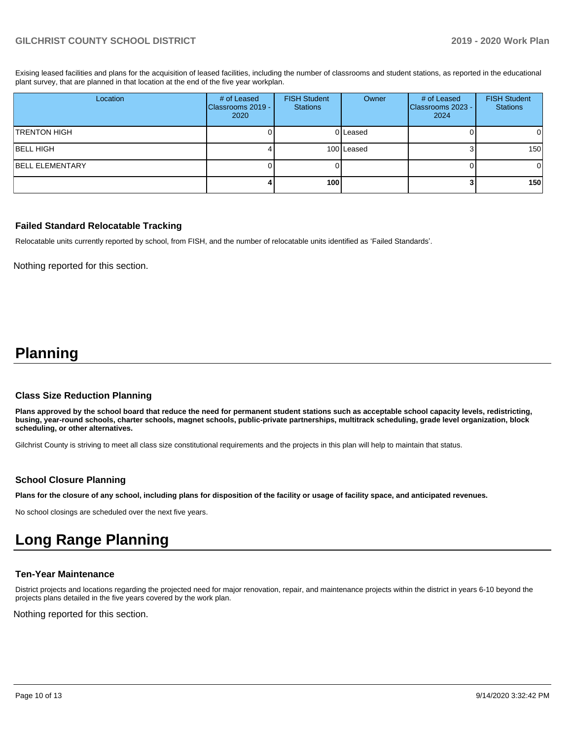Exising leased facilities and plans for the acquisition of leased facilities, including the number of classrooms and student stations, as reported in the educational plant survey, that are planned in that location at the end of the five year workplan.

| Location               | # of Leased<br>Classrooms 2019 -<br>2020 | <b>FISH Student</b><br><b>Stations</b> | Owner      | # of Leased<br>Classrooms 2023 -<br>2024 | <b>FISH Student</b><br><b>Stations</b> |
|------------------------|------------------------------------------|----------------------------------------|------------|------------------------------------------|----------------------------------------|
| <b>TRENTON HIGH</b>    |                                          |                                        | 0 Leased   |                                          | $\Omega$                               |
| <b>BELL HIGH</b>       |                                          |                                        | 100 Leased |                                          | 150 <sup>1</sup>                       |
| <b>BELL ELEMENTARY</b> |                                          |                                        |            |                                          | $\Omega$                               |
|                        |                                          | 100                                    |            |                                          | 150 <sup>1</sup>                       |

#### **Failed Standard Relocatable Tracking**

Relocatable units currently reported by school, from FISH, and the number of relocatable units identified as 'Failed Standards'.

Nothing reported for this section.

## **Planning**

#### **Class Size Reduction Planning**

**Plans approved by the school board that reduce the need for permanent student stations such as acceptable school capacity levels, redistricting, busing, year-round schools, charter schools, magnet schools, public-private partnerships, multitrack scheduling, grade level organization, block scheduling, or other alternatives.**

Gilchrist County is striving to meet all class size constitutional requirements and the projects in this plan will help to maintain that status.

#### **School Closure Planning**

**Plans for the closure of any school, including plans for disposition of the facility or usage of facility space, and anticipated revenues.** 

No school closings are scheduled over the next five years.

## **Long Range Planning**

#### **Ten-Year Maintenance**

District projects and locations regarding the projected need for major renovation, repair, and maintenance projects within the district in years 6-10 beyond the projects plans detailed in the five years covered by the work plan.

Nothing reported for this section.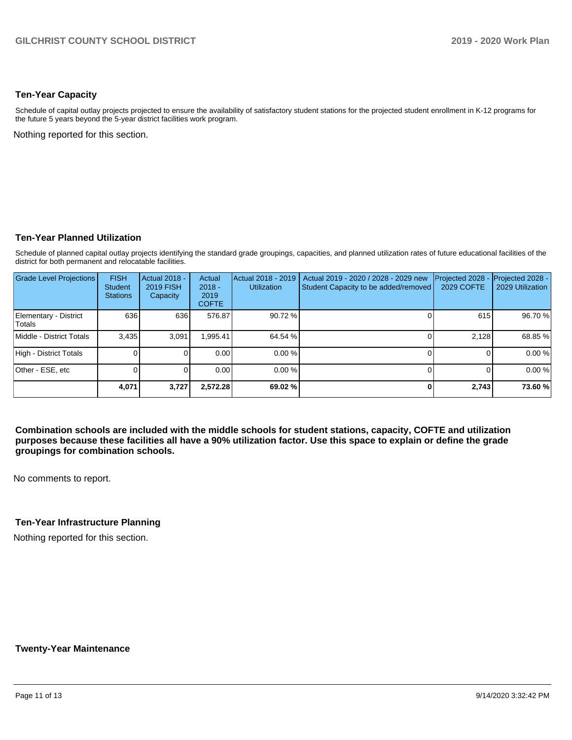#### **Ten-Year Capacity**

Schedule of capital outlay projects projected to ensure the availability of satisfactory student stations for the projected student enrollment in K-12 programs for the future 5 years beyond the 5-year district facilities work program.

Nothing reported for this section.

#### **Ten-Year Planned Utilization**

Schedule of planned capital outlay projects identifying the standard grade groupings, capacities, and planned utilization rates of future educational facilities of the district for both permanent and relocatable facilities.

| <b>Grade Level Projections</b>         | <b>FISH</b><br><b>Student</b><br><b>Stations</b> | Actual 2018 -<br><b>2019 FISH</b><br>Capacity | Actual<br>$2018 -$<br>2019<br><b>COFTE</b> | Actual 2018 - 2019<br><b>Utilization</b> | Actual 2019 - 2020 / 2028 - 2029 new<br>Student Capacity to be added/removed | Projected 2028<br>2029 COFTE | Projected 2028 -<br>2029 Utilization |
|----------------------------------------|--------------------------------------------------|-----------------------------------------------|--------------------------------------------|------------------------------------------|------------------------------------------------------------------------------|------------------------------|--------------------------------------|
| Elementary - District<br><b>Totals</b> | 636                                              | 636                                           | 576.87                                     | 90.72 %                                  |                                                                              | 615                          | 96.70 %                              |
| Middle - District Totals               | 3.435                                            | 3.091                                         | .995.41                                    | 64.54 %                                  |                                                                              | 2.128                        | 68.85 %                              |
| High - District Totals                 |                                                  |                                               | 0.00                                       | 0.00%                                    |                                                                              |                              | 0.00%                                |
| Other - ESE, etc                       |                                                  |                                               | 0.00                                       | $0.00\%$                                 |                                                                              |                              | 0.00%                                |
|                                        | 4,071                                            | 3,727                                         | 2.572.28                                   | 69.02 %                                  |                                                                              | 2.743                        | 73.60 %                              |

**Combination schools are included with the middle schools for student stations, capacity, COFTE and utilization purposes because these facilities all have a 90% utilization factor. Use this space to explain or define the grade groupings for combination schools.** 

No comments to report.

#### **Ten-Year Infrastructure Planning**

Nothing reported for this section.

#### **Twenty-Year Maintenance**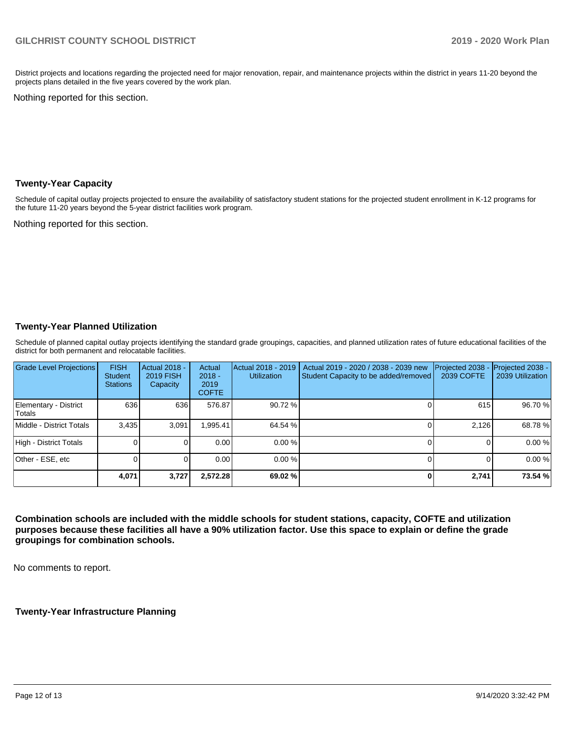District projects and locations regarding the projected need for major renovation, repair, and maintenance projects within the district in years 11-20 beyond the projects plans detailed in the five years covered by the work plan.

Nothing reported for this section.

#### **Twenty-Year Capacity**

Schedule of capital outlay projects projected to ensure the availability of satisfactory student stations for the projected student enrollment in K-12 programs for the future 11-20 years beyond the 5-year district facilities work program.

Nothing reported for this section.

#### **Twenty-Year Planned Utilization**

Schedule of planned capital outlay projects identifying the standard grade groupings, capacities, and planned utilization rates of future educational facilities of the district for both permanent and relocatable facilities.

| Grade Level Projections         | <b>FISH</b><br><b>Student</b><br><b>Stations</b> | Actual 2018 -<br><b>2019 FISH</b><br>Capacity | Actual<br>$2018 -$<br>2019<br><b>COFTE</b> | Actual 2018 - 2019<br><b>Utilization</b> | Actual 2019 - 2020 / 2038 - 2039 new<br>Student Capacity to be added/removed | Projected 2038<br>2039 COFTE | Projected 2038 -<br>2039 Utilization |
|---------------------------------|--------------------------------------------------|-----------------------------------------------|--------------------------------------------|------------------------------------------|------------------------------------------------------------------------------|------------------------------|--------------------------------------|
| Elementary - District<br>Totals | 636                                              | 636                                           | 576.87                                     | 90.72 %                                  |                                                                              | 615                          | 96.70 %                              |
| Middle - District Totals        | 3.435                                            | 3.091                                         | .995.41                                    | 64.54 %                                  |                                                                              | 2.126                        | 68.78%                               |
| High - District Totals          |                                                  |                                               | 0.00                                       | $0.00 \%$                                |                                                                              |                              | 0.00%                                |
| Other - ESE, etc                |                                                  |                                               | 0.00                                       | $0.00 \%$                                |                                                                              |                              | 0.00%                                |
|                                 | 4,071                                            | 3,727                                         | 2,572.28                                   | 69.02 %                                  |                                                                              | 2,741                        | 73.54 %                              |

**Combination schools are included with the middle schools for student stations, capacity, COFTE and utilization purposes because these facilities all have a 90% utilization factor. Use this space to explain or define the grade groupings for combination schools.** 

No comments to report.

**Twenty-Year Infrastructure Planning**